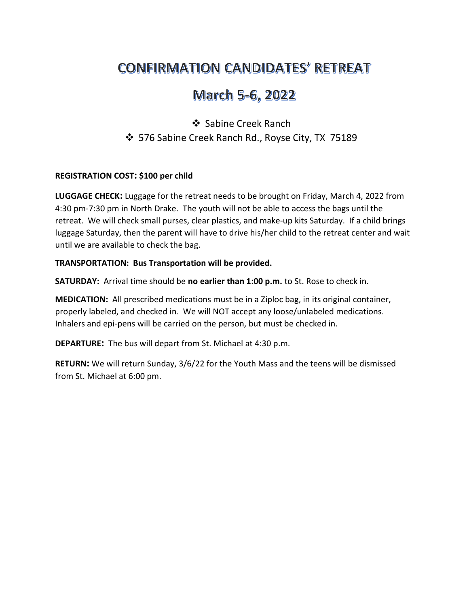# **CONFIRMATION CANDIDATES' RETREAT**

## March 5-6, 2022

### ❖ Sabine Creek Ranch 576 Sabine Creek Ranch Rd., Royse City, TX 75189

#### REGISTRATION COST: \$100 per child

LUGGAGE CHECK: Luggage for the retreat needs to be brought on Friday, March 4, 2022 from 4:30 pm-7:30 pm in North Drake. The youth will not be able to access the bags until the retreat. We will check small purses, clear plastics, and make-up kits Saturday. If a child brings luggage Saturday, then the parent will have to drive his/her child to the retreat center and wait until we are available to check the bag.

#### TRANSPORTATION: Bus Transportation will be provided.

SATURDAY: Arrival time should be no earlier than 1:00 p.m. to St. Rose to check in.

MEDICATION: All prescribed medications must be in a Ziploc bag, in its original container, properly labeled, and checked in. We will NOT accept any loose/unlabeled medications. Inhalers and epi-pens will be carried on the person, but must be checked in.

DEPARTURE: The bus will depart from St. Michael at 4:30 p.m.

RETURN: We will return Sunday, 3/6/22 for the Youth Mass and the teens will be dismissed from St. Michael at 6:00 pm.